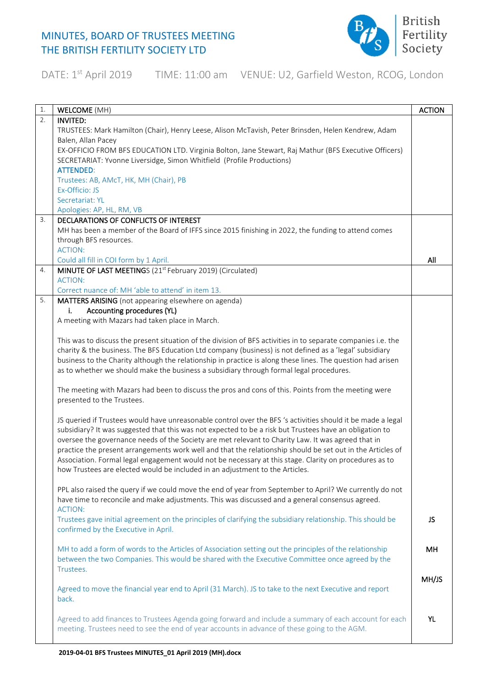

DATE: 1<sup>st</sup> April 2019 TIME: 11:00 am VENUE: U2, Garfield Weston, RCOG, London

| 1. | <b>WELCOME</b> (MH)                                                                                           | <b>ACTION</b> |
|----|---------------------------------------------------------------------------------------------------------------|---------------|
| 2. | INVITED:                                                                                                      |               |
|    | TRUSTEES: Mark Hamilton (Chair), Henry Leese, Alison McTavish, Peter Brinsden, Helen Kendrew, Adam            |               |
|    | Balen, Allan Pacey                                                                                            |               |
|    | EX-OFFICIO FROM BFS EDUCATION LTD. Virginia Bolton, Jane Stewart, Raj Mathur (BFS Executive Officers)         |               |
|    | SECRETARIAT: Yvonne Liversidge, Simon Whitfield (Profile Productions)                                         |               |
|    | <b>ATTENDED:</b>                                                                                              |               |
|    | Trustees: AB, AMcT, HK, MH (Chair), PB                                                                        |               |
|    | Ex-Officio: JS                                                                                                |               |
|    | Secretariat: YL                                                                                               |               |
|    | Apologies: AP, HL, RM, VB                                                                                     |               |
| 3. | DECLARATIONS OF CONFLICTS OF INTEREST                                                                         |               |
|    | MH has been a member of the Board of IFFS since 2015 finishing in 2022, the funding to attend comes           |               |
|    | through BFS resources.                                                                                        |               |
|    | <b>ACTION:</b>                                                                                                |               |
|    | Could all fill in COI form by 1 April.                                                                        | All           |
| 4. | MINUTE OF LAST MEETINGS (21 <sup>st</sup> February 2019) (Circulated)                                         |               |
|    | <b>ACTION:</b>                                                                                                |               |
|    | Correct nuance of: MH 'able to attend' in item 13.                                                            |               |
| 5. | MATTERS ARISING (not appearing elsewhere on agenda)                                                           |               |
|    | Accounting procedures (YL)<br>i.                                                                              |               |
|    | A meeting with Mazars had taken place in March.                                                               |               |
|    |                                                                                                               |               |
|    | This was to discuss the present situation of the division of BFS activities in to separate companies i.e. the |               |
|    | charity & the business. The BFS Education Ltd company (business) is not defined as a 'legal' subsidiary       |               |
|    | business to the Charity although the relationship in practice is along these lines. The question had arisen   |               |
|    |                                                                                                               |               |
|    | as to whether we should make the business a subsidiary through formal legal procedures.                       |               |
|    |                                                                                                               |               |
|    | The meeting with Mazars had been to discuss the pros and cons of this. Points from the meeting were           |               |
|    | presented to the Trustees.                                                                                    |               |
|    |                                                                                                               |               |
|    | JS queried if Trustees would have unreasonable control over the BFS 's activities should it be made a legal   |               |
|    | subsidiary? It was suggested that this was not expected to be a risk but Trustees have an obligation to       |               |
|    | oversee the governance needs of the Society are met relevant to Charity Law. It was agreed that in            |               |
|    | practice the present arrangements work well and that the relationship should be set out in the Articles of    |               |
|    | Association. Formal legal engagement would not be necessary at this stage. Clarity on procedures as to        |               |
|    | how Trustees are elected would be included in an adjustment to the Articles.                                  |               |
|    |                                                                                                               |               |
|    | PPL also raised the query if we could move the end of year from September to April? We currently do not       |               |
|    | have time to reconcile and make adjustments. This was discussed and a general consensus agreed.               |               |
|    | <b>ACTION:</b>                                                                                                |               |
|    | Trustees gave initial agreement on the principles of clarifying the subsidiary relationship. This should be   | JS            |
|    | confirmed by the Executive in April.                                                                          |               |
|    |                                                                                                               |               |
|    | MH to add a form of words to the Articles of Association setting out the principles of the relationship       | MН            |
|    | between the two Companies. This would be shared with the Executive Committee once agreed by the               |               |
|    | Trustees.                                                                                                     |               |
|    |                                                                                                               | MH/JS         |
|    | Agreed to move the financial year end to April (31 March). JS to take to the next Executive and report        |               |
|    | back.                                                                                                         |               |
|    |                                                                                                               |               |
|    | Agreed to add finances to Trustees Agenda going forward and include a summary of each account for each        | YL.           |
|    | meeting. Trustees need to see the end of year accounts in advance of these going to the AGM.                  |               |
|    |                                                                                                               |               |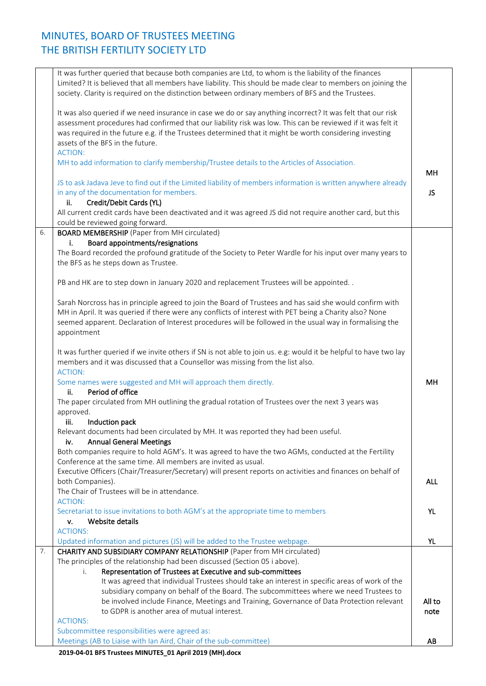|    | 2019-04-01 BFS Trustees MINUTES_01 April 2019 (MH).docx                                                           |            |
|----|-------------------------------------------------------------------------------------------------------------------|------------|
|    | Meetings (AB to Liaise with Ian Aird, Chair of the sub-committee)                                                 | AB         |
|    | Subcommittee responsibilities were agreed as:                                                                     |            |
|    | <b>ACTIONS:</b>                                                                                                   |            |
|    | to GDPR is another area of mutual interest.                                                                       | note       |
|    | be involved include Finance, Meetings and Training, Governance of Data Protection relevant                        | All to     |
|    | subsidiary company on behalf of the Board. The subcommittees where we need Trustees to                            |            |
|    | It was agreed that individual Trustees should take an interest in specific areas of work of the                   |            |
|    | Representation of Trustees at Executive and sub-committees<br>i.                                                  |            |
|    | The principles of the relationship had been discussed (Section 05 i above).                                       |            |
| 7. | CHARITY AND SUBSIDIARY COMPANY RELATIONSHIP (Paper from MH circulated)                                            |            |
|    | Updated information and pictures (JS) will be added to the Trustee webpage.                                       | YL         |
|    | <b>ACTIONS:</b>                                                                                                   |            |
|    | Website details<br>v.                                                                                             |            |
|    | Secretariat to issue invitations to both AGM's at the appropriate time to members                                 | <b>YL</b>  |
|    | <b>ACTION:</b>                                                                                                    |            |
|    | The Chair of Trustees will be in attendance.                                                                      |            |
|    | both Companies).                                                                                                  | <b>ALL</b> |
|    | Executive Officers (Chair/Treasurer/Secretary) will present reports on activities and finances on behalf of       |            |
|    | Conference at the same time. All members are invited as usual.                                                    |            |
|    | Both companies require to hold AGM's. It was agreed to have the two AGMs, conducted at the Fertility              |            |
|    | <b>Annual General Meetings</b><br>iv.                                                                             |            |
|    | Relevant documents had been circulated by MH. It was reported they had been useful.                               |            |
|    | Induction pack<br>iii.                                                                                            |            |
|    | approved.                                                                                                         |            |
|    | The paper circulated from MH outlining the gradual rotation of Trustees over the next 3 years was                 |            |
|    | Period of office<br>ii.                                                                                           |            |
|    | Some names were suggested and MH will approach them directly.                                                     | MH         |
|    | <b>ACTION:</b>                                                                                                    |            |
|    | members and it was discussed that a Counsellor was missing from the list also.                                    |            |
|    | It was further queried if we invite others if SN is not able to join us. e.g: would it be helpful to have two lay |            |
|    |                                                                                                                   |            |
|    | appointment                                                                                                       |            |
|    | seemed apparent. Declaration of Interest procedures will be followed in the usual way in formalising the          |            |
|    | MH in April. It was queried if there were any conflicts of interest with PET being a Charity also? None           |            |
|    | Sarah Norcross has in principle agreed to join the Board of Trustees and has said she would confirm with          |            |
|    |                                                                                                                   |            |
|    | PB and HK are to step down in January 2020 and replacement Trustees will be appointed                             |            |
|    |                                                                                                                   |            |
|    |                                                                                                                   |            |
|    | the BFS as he steps down as Trustee.                                                                              |            |
|    | The Board recorded the profound gratitude of the Society to Peter Wardle for his input over many years to         |            |
|    | Board appointments/resignations<br>i.                                                                             |            |
| 6. | <b>BOARD MEMBERSHIP</b> (Paper from MH circulated)                                                                |            |
|    | could be reviewed going forward.                                                                                  |            |
|    | All current credit cards have been deactivated and it was agreed JS did not require another card, but this        |            |
|    | Credit/Debit Cards (YL)<br>ii.                                                                                    |            |
|    | in any of the documentation for members.                                                                          | JS.        |
|    | JS to ask Jadava Jeve to find out if the Limited liability of members information is written anywhere already     |            |
|    |                                                                                                                   | MH         |
|    | MH to add information to clarify membership/Trustee details to the Articles of Association.                       |            |
|    | <b>ACTION:</b>                                                                                                    |            |
|    | assets of the BFS in the future.                                                                                  |            |
|    | was required in the future e.g. if the Trustees determined that it might be worth considering investing           |            |
|    | assessment procedures had confirmed that our liability risk was low. This can be reviewed if it was felt it       |            |
|    | It was also queried if we need insurance in case we do or say anything incorrect? It was felt that our risk       |            |
|    |                                                                                                                   |            |
|    | society. Clarity is required on the distinction between ordinary members of BFS and the Trustees.                 |            |
|    | Limited? It is believed that all members have liability. This should be made clear to members on joining the      |            |
|    | It was further queried that because both companies are Ltd, to whom is the liability of the finances              |            |
|    |                                                                                                                   |            |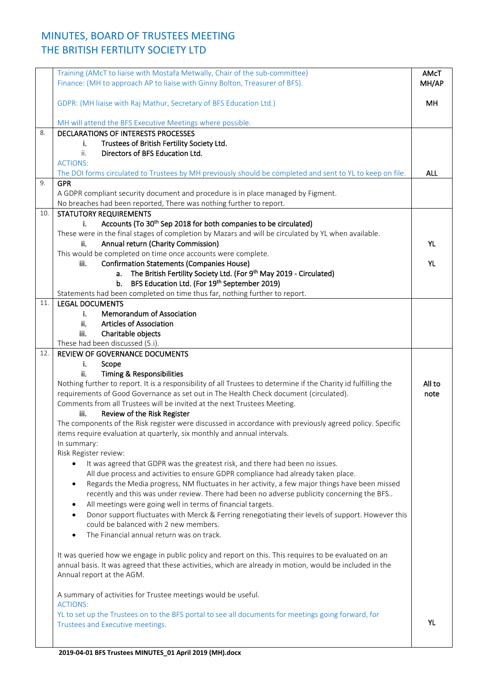|     | Training (AMcT to liaise with Mostafa Metwally, Chair of the sub-committee)<br>Finance: (MH to approach AP to liaise with Ginny Bolton, Treasurer of BFS). | AMcT<br>MH/AP |
|-----|------------------------------------------------------------------------------------------------------------------------------------------------------------|---------------|
|     | GDPR: (MH liaise with Raj Mathur, Secretary of BFS Education Ltd.)                                                                                         | MH.           |
|     | MH will attend the BFS Executive Meetings where possible.                                                                                                  |               |
| 8.  | DECLARATIONS OF INTERESTS PROCESSES                                                                                                                        |               |
|     | Trustees of British Fertility Society Ltd.<br>i.                                                                                                           |               |
|     | ii.<br>Directors of BFS Education Ltd.                                                                                                                     |               |
|     | <b>ACTIONS:</b>                                                                                                                                            |               |
|     | The DOI forms circulated to Trustees by MH previously should be completed and sent to YL to keep on file.                                                  | <b>ALL</b>    |
| 9.  | <b>GPR</b>                                                                                                                                                 |               |
|     | A GDPR compliant security document and procedure is in place managed by Figment.                                                                           |               |
|     | No breaches had been reported, There was nothing further to report.                                                                                        |               |
| 10. | <b>STATUTORY REQUIREMENTS</b>                                                                                                                              |               |
|     | Accounts (To 30 <sup>th</sup> Sep 2018 for both companies to be circulated)<br>i.                                                                          |               |
|     | These were in the final stages of completion by Mazars and will be circulated by YL when available.                                                        |               |
|     | Annual return (Charity Commission)<br>ii.                                                                                                                  | <b>YL</b>     |
|     | This would be completed on time once accounts were complete.                                                                                               |               |
|     | <b>Confirmation Statements (Companies House)</b><br>iii.                                                                                                   | <b>YL</b>     |
|     | The British Fertility Society Ltd. (For 9th May 2019 - Circulated)<br>a.                                                                                   |               |
|     | BFS Education Ltd. (For 19th September 2019)<br>b.                                                                                                         |               |
|     | Statements had been completed on time thus far, nothing further to report.                                                                                 |               |
| 11. | <b>LEGAL DOCUMENTS</b>                                                                                                                                     |               |
|     | Memorandum of Association<br>i.                                                                                                                            |               |
|     | <b>Articles of Association</b><br>ii.                                                                                                                      |               |
|     | Charitable objects<br>iii.                                                                                                                                 |               |
|     |                                                                                                                                                            |               |
| 12. | These had been discussed (5.i).<br>REVIEW OF GOVERNANCE DOCUMENTS                                                                                          |               |
|     | i.                                                                                                                                                         |               |
|     | Scope                                                                                                                                                      |               |
|     | <b>Timing &amp; Responsibilities</b><br>ii.                                                                                                                |               |
|     | Nothing further to report. It is a responsibility of all Trustees to determine if the Charity id fulfilling the                                            | All to        |
|     | requirements of Good Governance as set out in The Health Check document (circulated).                                                                      | note          |
|     | Comments from all Trustees will be invited at the next Trustees Meeting.                                                                                   |               |
|     | iii.<br>Review of the Risk Register                                                                                                                        |               |
|     | The components of the Risk register were discussed in accordance with previously agreed policy. Specific                                                   |               |
|     | items require evaluation at quarterly, six monthly and annual intervals.                                                                                   |               |
|     | In summary:                                                                                                                                                |               |
|     | Risk Register review:                                                                                                                                      |               |
|     | It was agreed that GDPR was the greatest risk, and there had been no issues.                                                                               |               |
|     | All due process and activities to ensure GDPR compliance had already taken place.                                                                          |               |
|     | Regards the Media progress, NM fluctuates in her activity, a few major things have been missed<br>$\bullet$                                                |               |
|     | recently and this was under review. There had been no adverse publicity concerning the BFS                                                                 |               |
|     | All meetings were going well in terms of financial targets.<br>$\bullet$                                                                                   |               |
|     | Donor support fluctuates with Merck & Ferring renegotiating their levels of support. However this<br>$\bullet$                                             |               |
|     | could be balanced with 2 new members.                                                                                                                      |               |
|     | The Financial annual return was on track.                                                                                                                  |               |
|     |                                                                                                                                                            |               |
|     | It was queried how we engage in public policy and report on this. This requires to be evaluated on an                                                      |               |
|     | annual basis. It was agreed that these activities, which are already in motion, would be included in the                                                   |               |
|     | Annual report at the AGM.                                                                                                                                  |               |
|     |                                                                                                                                                            |               |
|     | A summary of activities for Trustee meetings would be useful.                                                                                              |               |
|     | <b>ACTIONS:</b>                                                                                                                                            |               |
|     | YL to set up the Trustees on to the BFS portal to see all documents for meetings going forward, for                                                        |               |
|     | Trustees and Executive meetings.                                                                                                                           | <b>YL</b>     |
|     |                                                                                                                                                            |               |
|     |                                                                                                                                                            |               |